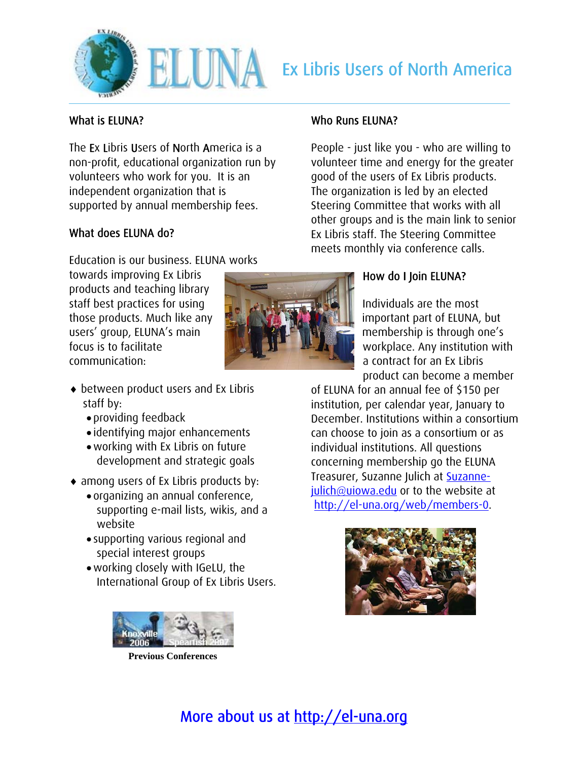

## What is ELUNA?

The Ex Libris Users of North America is a non-profit, educational organization run by volunteers who work for you. It is an independent organization that is supported by annual membership fees.

## What does ELUNA do?

Education is our business. ELUNA works

towards improving Ex Libris products and teaching library staff best practices for using those products. Much like any users' group, ELUNA's main focus is to facilitate communication:

### Who Runs ELUNA?

People - just like you - who are willing to volunteer time and energy for the greater good of the users of Ex Libris products. The organization is led by an elected Steering Committee that works with all other groups and is the main link to senior Ex Libris staff. The Steering Committee meets monthly via conference calls.

# How do I Join ELUNA?

Individuals are the most important part of ELUNA, but membership is through one's workplace. Any institution with a contract for an Ex Libris product can become a member

of ELUNA for an annual fee of \$150 per institution, per calendar year, January to December. Institutions within a consortium can choose to join as a consortium or as individual institutions. All questions concerning membership go the ELUNA Treasurer, Suzanne Julich at [Suzanne](mailto:Suzanne-julich@uiowa.edu)[julich@uiowa.edu](mailto:Suzanne-julich@uiowa.edu) or to the website at <http://el-una.org/web/members-0>.



- ♦ between product users and Ex Libris staff by:
	- providing feedback
	- identifying major enhancements
	- •working with Ex Libris on future development and strategic goals
- ♦ among users of Ex Libris products by:
	- organizing an annual conference, supporting e-mail lists, wikis, and a website
	- supporting various regional and special interest groups
	- •working closely with IGeLU, the International Group of Ex Libris Users.



**Previous Conferences**